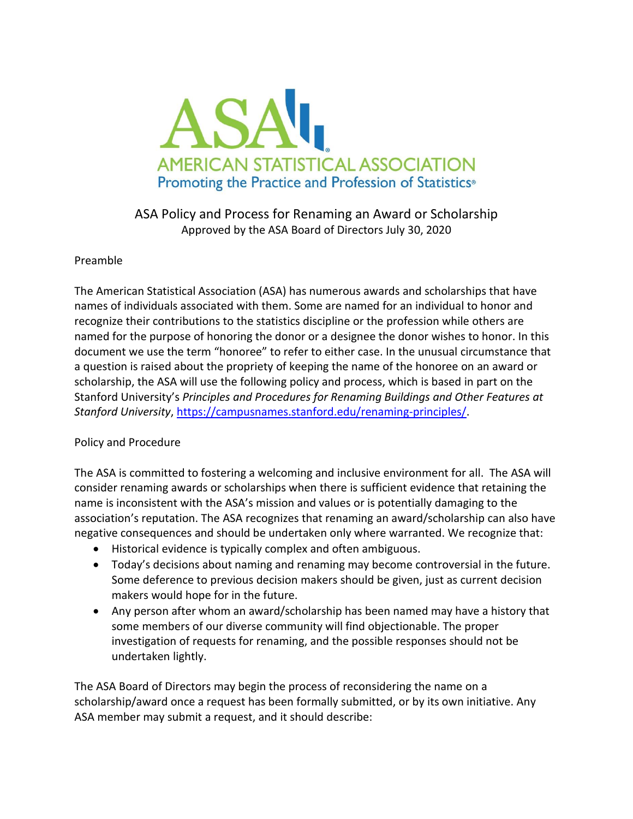

## ASA Policy and Process for Renaming an Award or Scholarship Approved by the ASA Board of Directors July 30, 2020

## Preamble

The American Statistical Association (ASA) has numerous awards and scholarships that have names of individuals associated with them. Some are named for an individual to honor and recognize their contributions to the statistics discipline or the profession while others are named for the purpose of honoring the donor or a designee the donor wishes to honor. In this document we use the term "honoree" to refer to either case. In the unusual circumstance that a question is raised about the propriety of keeping the name of the honoree on an award or scholarship, the ASA will use the following policy and process, which is based in part on the Stanford University's *Principles and Procedures for Renaming Buildings and Other Features at Stanford University*, [https://campusnames.stanford.edu/renaming-principles/.](https://campusnames.stanford.edu/renaming-principles/)

## Policy and Procedure

The ASA is committed to fostering a welcoming and inclusive environment for all. The ASA will consider renaming awards or scholarships when there is sufficient evidence that retaining the name is inconsistent with the ASA's mission and values or is potentially damaging to the association's reputation. The ASA recognizes that renaming an award/scholarship can also have negative consequences and should be undertaken only where warranted. We recognize that:

- Historical evidence is typically complex and often ambiguous.
- Today's decisions about naming and renaming may become controversial in the future. Some deference to previous decision makers should be given, just as current decision makers would hope for in the future.
- Any person after whom an award/scholarship has been named may have a history that some members of our diverse community will find objectionable. The proper investigation of requests for renaming, and the possible responses should not be undertaken lightly.

The ASA Board of Directors may begin the process of reconsidering the name on a scholarship/award once a request has been formally submitted, or by its own initiative. Any ASA member may submit a request, and it should describe: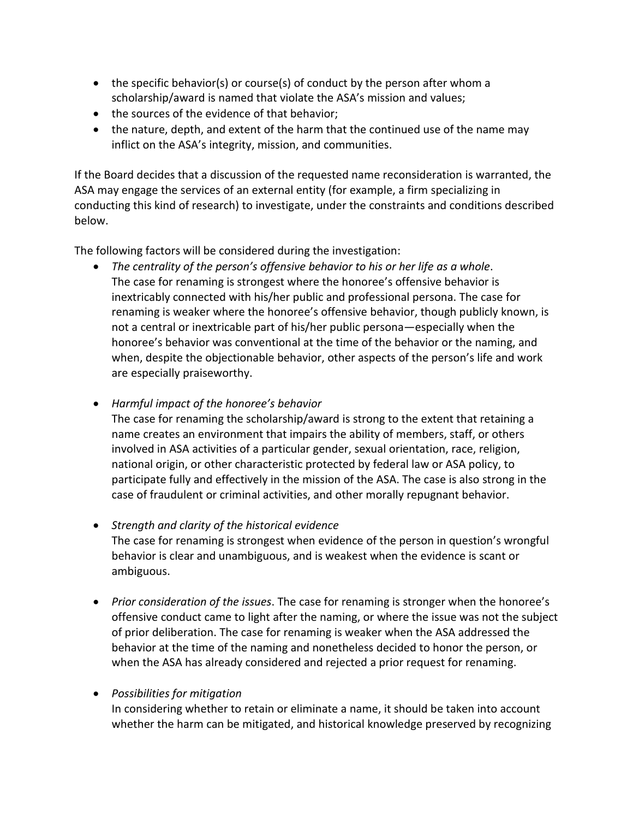- the specific behavior(s) or course(s) of conduct by the person after whom a scholarship/award is named that violate the ASA's mission and values;
- the sources of the evidence of that behavior;
- the nature, depth, and extent of the harm that the continued use of the name may inflict on the ASA's integrity, mission, and communities.

If the Board decides that a discussion of the requested name reconsideration is warranted, the ASA may engage the services of an external entity (for example, a firm specializing in conducting this kind of research) to investigate, under the constraints and conditions described below.

The following factors will be considered during the investigation:

• *The centrality of the person's offensive behavior to his or her life as a whole*. The case for renaming is strongest where the honoree's offensive behavior is inextricably connected with his/her public and professional persona. The case for renaming is weaker where the honoree's offensive behavior, though publicly known, is not a central or inextricable part of his/her public persona―especially when the honoree's behavior was conventional at the time of the behavior or the naming, and when, despite the objectionable behavior, other aspects of the person's life and work are especially praiseworthy.

• *Harmful impact of the honoree's behavior*

The case for renaming the scholarship/award is strong to the extent that retaining a name creates an environment that impairs the ability of members, staff, or others involved in ASA activities of a particular gender, sexual orientation, race, religion, national origin, or other characteristic protected by federal law or ASA policy, to participate fully and effectively in the mission of the ASA. The case is also strong in the case of fraudulent or criminal activities, and other morally repugnant behavior.

- *Strength and clarity of the historical evidence* The case for renaming is strongest when evidence of the person in question's wrongful behavior is clear and unambiguous, and is weakest when the evidence is scant or ambiguous.
- *Prior consideration of the issues*. The case for renaming is stronger when the honoree's offensive conduct came to light after the naming, or where the issue was not the subject of prior deliberation. The case for renaming is weaker when the ASA addressed the behavior at the time of the naming and nonetheless decided to honor the person, or when the ASA has already considered and rejected a prior request for renaming.

• *Possibilities for mitigation*

In considering whether to retain or eliminate a name, it should be taken into account whether the harm can be mitigated, and historical knowledge preserved by recognizing